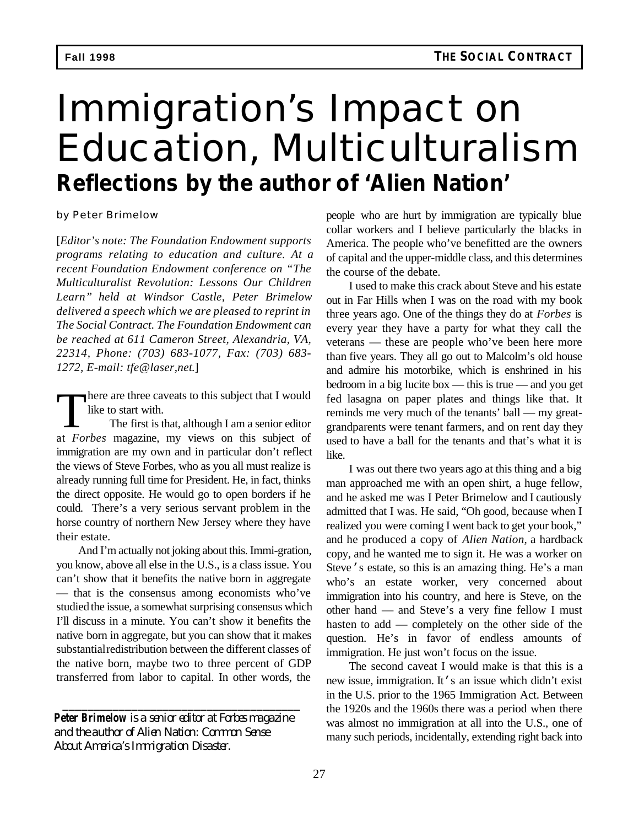# Immigration's Impact on Education, Multiculturalism *Reflections by the author of 'Alien Nation'*

by Peter Brimelow

[*Editor's note: The Foundation Endowment supports programs relating to education and culture. At a recent Foundation Endowment conference on "The Multiculturalist Revolution: Lessons Our Children Learn" held at Windsor Castle, Peter Brimelow delivered a speech which we are pleased to reprint in The Social Contract. The Foundation Endowment can be reached at 611 Cameron Street, Alexandria, VA, 22314, Phone: (703) 683-1077, Fax: (703) 683- 1272, E-mail: tfe@laser,net*.]

There are three caveats to this subject that I would<br>like to start with.<br>The first is that, although I am a senior editor<br>at *Forbes* magazine, my views on this subject of here are three caveats to this subject that I would like to start with. The first is that, although I am a senior editor immigration are my own and in particular don't reflect the views of Steve Forbes, who as you all must realize is already running full time for President. He, in fact, thinks the direct opposite. He would go to open borders if he could. There's a very serious servant problem in the horse country of northern New Jersey where they have their estate.

And I'm actually not joking about this. Immi-gration, you know, above all else in the U.S., is a class issue. You can't show that it benefits the native born in aggregate — that is the consensus among economists who've studied the issue, a somewhat surprising consensus which I'll discuss in a minute. You can't show it benefits the native born in aggregate, but you can show that it makes substantial redistribution between the different classes of the native born, maybe two to three percent of GDP transferred from labor to capital. In other words, the

*Peter Brimelow is a senior editor at Forbes magazine and the author of Alien Nation: Common Sense About America's Immigration Disaster.*

*\_\_\_\_\_\_\_\_\_\_\_\_\_\_\_\_\_\_\_\_\_\_\_\_\_\_\_\_\_\_\_\_\_\_\_\_\_\_*

people who are hurt by immigration are typically blue collar workers and I believe particularly the blacks in America. The people who've benefitted are the owners of capital and the upper-middle class, and this determines the course of the debate.

I used to make this crack about Steve and his estate out in Far Hills when I was on the road with my book three years ago. One of the things they do at *Forbes* is every year they have a party for what they call the veterans — these are people who've been here more than five years. They all go out to Malcolm's old house and admire his motorbike, which is enshrined in his bedroom in a big lucite box — this is true — and you get fed lasagna on paper plates and things like that. It reminds me very much of the tenants' ball — my greatgrandparents were tenant farmers, and on rent day they used to have a ball for the tenants and that's what it is like.

I was out there two years ago at this thing and a big man approached me with an open shirt, a huge fellow, and he asked me was I Peter Brimelow and I cautiously admitted that I was. He said, "Oh good, because when I realized you were coming I went back to get your book," and he produced a copy of *Alien Nation*, a hardback copy, and he wanted me to sign it. He was a worker on Steve's estate, so this is an amazing thing. He's a man who's an estate worker, very concerned about immigration into his country, and here is Steve, on the other hand — and Steve's a very fine fellow I must hasten to add — completely on the other side of the question. He's in favor of endless amounts of immigration. He just won't focus on the issue.

The second caveat I would make is that this is a new issue, immigration. It's an issue which didn't exist in the U.S. prior to the 1965 Immigration Act. Between the 1920s and the 1960s there was a period when there was almost no immigration at all into the U.S., one of many such periods, incidentally, extending right back into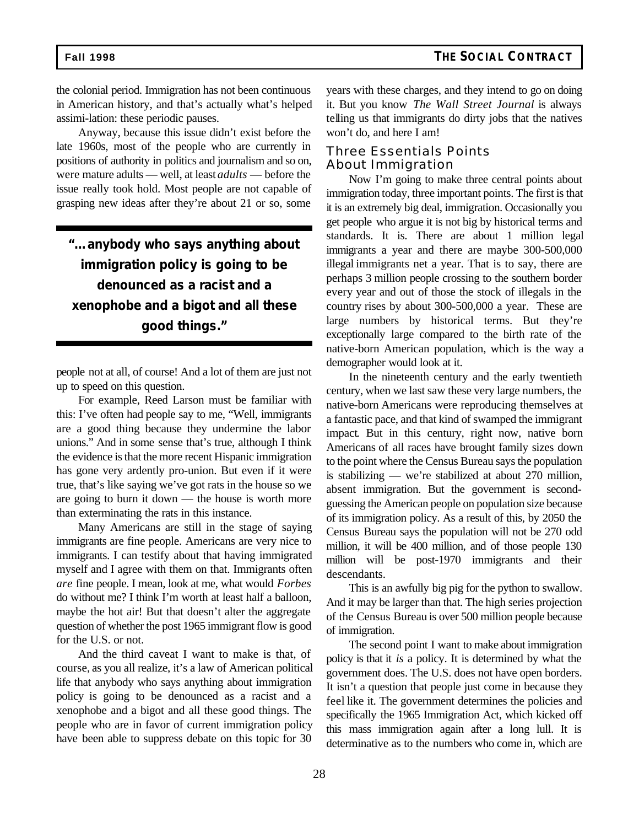the colonial period. Immigration has not been continuous in American history, and that's actually what's helped assimi-lation: these periodic pauses.

Anyway, because this issue didn't exist before the late 1960s, most of the people who are currently in positions of authority in politics and journalism and so on, were mature adults — well, at least *adults* — before the issue really took hold. Most people are not capable of grasping new ideas after they're about 21 or so, some

# *"…anybody who says anything about immigration policy is going to be denounced as a racist and a xenophobe and a bigot and all these good things."*

people not at all, of course! And a lot of them are just not up to speed on this question.

For example, Reed Larson must be familiar with this: I've often had people say to me, "Well, immigrants are a good thing because they undermine the labor unions." And in some sense that's true, although I think the evidence is that the more recent Hispanic immigration has gone very ardently pro-union. But even if it were true, that's like saying we've got rats in the house so we are going to burn it down — the house is worth more than exterminating the rats in this instance.

Many Americans are still in the stage of saying immigrants are fine people. Americans are very nice to immigrants. I can testify about that having immigrated myself and I agree with them on that. Immigrants often *are* fine people. I mean, look at me, what would *Forbes* do without me? I think I'm worth at least half a balloon, maybe the hot air! But that doesn't alter the aggregate question of whether the post 1965 immigrant flow is good for the U.S. or not.

And the third caveat I want to make is that, of course, as you all realize, it's a law of American political life that anybody who says anything about immigration policy is going to be denounced as a racist and a xenophobe and a bigot and all these good things. The people who are in favor of current immigration policy have been able to suppress debate on this topic for 30

years with these charges, and they intend to go on doing it. But you know *The Wall Street Journal* is always telling us that immigrants do dirty jobs that the natives won't do, and here I am!

### Three Essentials Points About Immigration

Now I'm going to make three central points about immigration today, three important points. The first is that it is an extremely big deal, immigration. Occasionally you get people who argue it is not big by historical terms and standards. It is. There are about 1 million legal immigrants a year and there are maybe 300-500,000 illegal immigrants net a year. That is to say, there are perhaps 3 million people crossing to the southern border every year and out of those the stock of illegals in the country rises by about 300-500,000 a year. These are large numbers by historical terms. But they're exceptionally large compared to the birth rate of the native-born American population, which is the way a demographer would look at it.

In the nineteenth century and the early twentieth century, when we last saw these very large numbers, the native-born Americans were reproducing themselves at a fantastic pace, and that kind of swamped the immigrant impact. But in this century, right now, native born Americans of all races have brought family sizes down to the point where the Census Bureau says the population is stabilizing — we're stabilized at about 270 million, absent immigration. But the government is secondguessing the American people on population size because of its immigration policy. As a result of this, by 2050 the Census Bureau says the population will not be 270 odd million, it will be 400 million, and of those people 130 million will be post-1970 immigrants and their descendants.

This is an awfully big pig for the python to swallow. And it may be larger than that. The high series projection of the Census Bureau is over 500 million people because of immigration.

The second point I want to make about immigration policy is that it *is* a policy. It is determined by what the government does. The U.S. does not have open borders. It isn't a question that people just come in because they feel like it. The government determines the policies and specifically the 1965 Immigration Act, which kicked off this mass immigration again after a long lull. It is determinative as to the numbers who come in, which are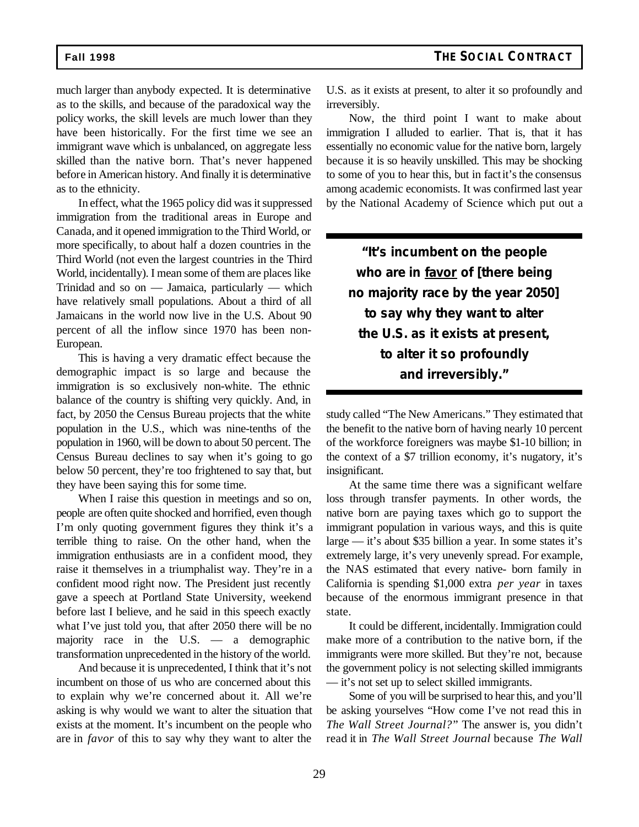much larger than anybody expected. It is determinative as to the skills, and because of the paradoxical way the policy works, the skill levels are much lower than they have been historically. For the first time we see an immigrant wave which is unbalanced, on aggregate less skilled than the native born. That's never happened before in American history. And finally it is determinative as to the ethnicity.

In effect, what the 1965 policy did was it suppressed immigration from the traditional areas in Europe and Canada, and it opened immigration to the Third World, or more specifically, to about half a dozen countries in the Third World (not even the largest countries in the Third World, incidentally). I mean some of them are places like Trinidad and so on — Jamaica, particularly — which have relatively small populations. About a third of all Jamaicans in the world now live in the U.S. About 90 percent of all the inflow since 1970 has been non-European.

This is having a very dramatic effect because the demographic impact is so large and because the immigration is so exclusively non-white. The ethnic balance of the country is shifting very quickly. And, in fact, by 2050 the Census Bureau projects that the white population in the U.S., which was nine-tenths of the population in 1960, will be down to about 50 percent. The Census Bureau declines to say when it's going to go below 50 percent, they're too frightened to say that, but they have been saying this for some time.

When I raise this question in meetings and so on, people are often quite shocked and horrified, even though I'm only quoting government figures they think it's a terrible thing to raise. On the other hand, when the immigration enthusiasts are in a confident mood, they raise it themselves in a triumphalist way. They're in a confident mood right now. The President just recently gave a speech at Portland State University, weekend before last I believe, and he said in this speech exactly what I've just told you, that after 2050 there will be no majority race in the U.S. — a demographic transformation unprecedented in the history of the world.

And because it is unprecedented, I think that it's not incumbent on those of us who are concerned about this to explain why we're concerned about it. All we're asking is why would we want to alter the situation that exists at the moment. It's incumbent on the people who are in *favor* of this to say why they want to alter the U.S. as it exists at present, to alter it so profoundly and irreversibly.

Now, the third point I want to make about immigration I alluded to earlier. That is, that it has essentially no economic value for the native born, largely because it is so heavily unskilled. This may be shocking to some of you to hear this, but in fact it's the consensus among academic economists. It was confirmed last year by the National Academy of Science which put out a

*"It's incumbent on the people who are in favor of [there being no majority race by the year 2050] to say why they want to alter the U.S. as it exists at present, to alter it so profoundly and irreversibly."*

study called "The New Americans." They estimated that the benefit to the native born of having nearly 10 percent of the workforce foreigners was maybe \$1-10 billion; in the context of a \$7 trillion economy, it's nugatory, it's insignificant.

At the same time there was a significant welfare loss through transfer payments. In other words, the native born are paying taxes which go to support the immigrant population in various ways, and this is quite large — it's about \$35 billion a year. In some states it's extremely large, it's very unevenly spread. For example, the NAS estimated that every native- born family in California is spending \$1,000 extra *per year* in taxes because of the enormous immigrant presence in that state.

It could be different, incidentally. Immigration could make more of a contribution to the native born, if the immigrants were more skilled. But they're not, because the government policy is not selecting skilled immigrants — it's not set up to select skilled immigrants.

Some of you will be surprised to hear this, and you'll be asking yourselves "How come I've not read this in *The Wall Street Journal?*" The answer is, you didn't read it in *The Wall Street Journal* because *The Wall*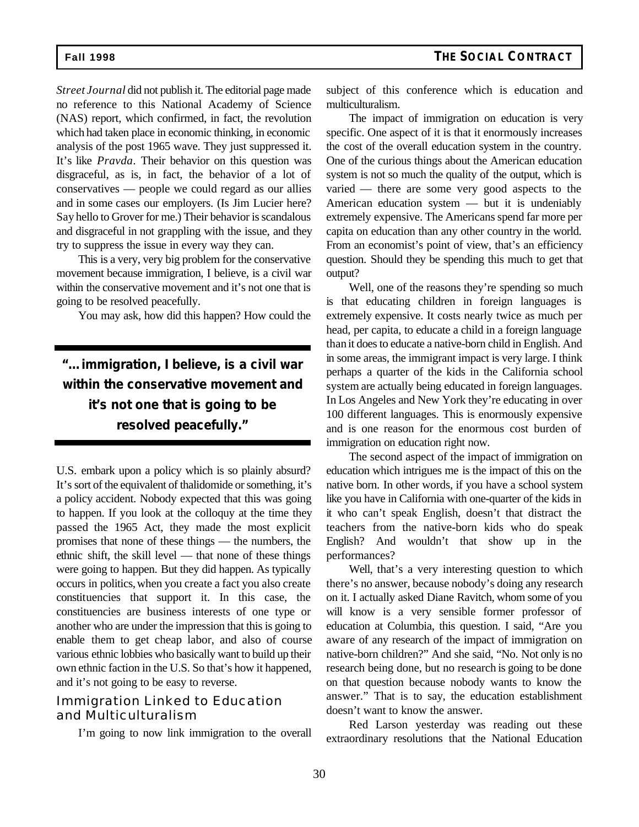*Street Journal* did not publish it. The editorial page made no reference to this National Academy of Science (NAS) report, which confirmed, in fact, the revolution which had taken place in economic thinking, in economic analysis of the post 1965 wave. They just suppressed it. It's like *Pravda*. Their behavior on this question was disgraceful, as is, in fact, the behavior of a lot of conservatives — people we could regard as our allies and in some cases our employers. (Is Jim Lucier here? Say hello to Grover for me.) Their behavior is scandalous and disgraceful in not grappling with the issue, and they try to suppress the issue in every way they can.

This is a very, very big problem for the conservative movement because immigration, I believe, is a civil war within the conservative movement and it's not one that is going to be resolved peacefully.

You may ask, how did this happen? How could the

*"…immigration, I believe, is a civil war within the conservative movement and it's not one that is going to be resolved peacefully."*

U.S. embark upon a policy which is so plainly absurd? It's sort of the equivalent of thalidomide or something, it's a policy accident. Nobody expected that this was going to happen. If you look at the colloquy at the time they passed the 1965 Act, they made the most explicit promises that none of these things — the numbers, the ethnic shift, the skill level — that none of these things were going to happen. But they did happen. As typically occurs in politics, when you create a fact you also create constituencies that support it. In this case, the constituencies are business interests of one type or another who are under the impression that this is going to enable them to get cheap labor, and also of course various ethnic lobbies who basically want to build up their own ethnic faction in the U.S. So that's how it happened, and it's not going to be easy to reverse.

### Immigration Linked to Education and Multiculturalism

I'm going to now link immigration to the overall

subject of this conference which is education and multiculturalism.

The impact of immigration on education is very specific. One aspect of it is that it enormously increases the cost of the overall education system in the country. One of the curious things about the American education system is not so much the quality of the output, which is varied — there are some very good aspects to the American education system — but it is undeniably extremely expensive. The Americans spend far more per capita on education than any other country in the world. From an economist's point of view, that's an efficiency question. Should they be spending this much to get that output?

Well, one of the reasons they're spending so much is that educating children in foreign languages is extremely expensive. It costs nearly twice as much per head, per capita, to educate a child in a foreign language than it does to educate a native-born child in English. And in some areas, the immigrant impact is very large. I think perhaps a quarter of the kids in the California school system are actually being educated in foreign languages. In Los Angeles and New York they're educating in over 100 different languages. This is enormously expensive and is one reason for the enormous cost burden of immigration on education right now.

The second aspect of the impact of immigration on education which intrigues me is the impact of this on the native born. In other words, if you have a school system like you have in California with one-quarter of the kids in it who can't speak English, doesn't that distract the teachers from the native-born kids who do speak English? And wouldn't that show up in the performances?

Well, that's a very interesting question to which there's no answer, because nobody's doing any research on it. I actually asked Diane Ravitch, whom some of you will know is a very sensible former professor of education at Columbia, this question. I said, "Are you aware of any research of the impact of immigration on native-born children?" And she said, "No. Not only is no research being done, but no research is going to be done on that question because nobody wants to know the answer." That is to say, the education establishment doesn't want to know the answer.

Red Larson yesterday was reading out these extraordinary resolutions that the National Education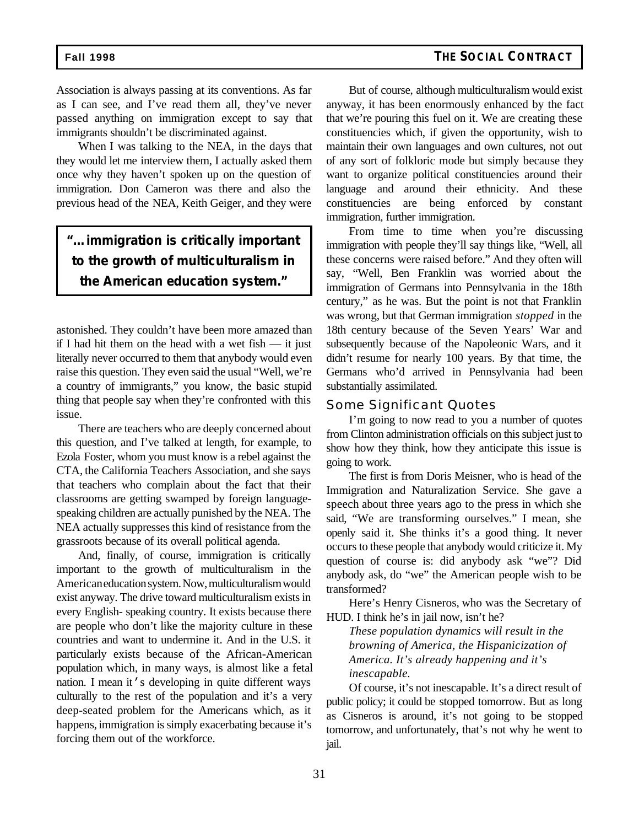Association is always passing at its conventions. As far as I can see, and I've read them all, they've never passed anything on immigration except to say that immigrants shouldn't be discriminated against.

When I was talking to the NEA, in the days that they would let me interview them, I actually asked them once why they haven't spoken up on the question of immigration. Don Cameron was there and also the previous head of the NEA, Keith Geiger, and they were

## *"…immigration is critically important to the growth of multiculturalism in the American education system."*

astonished. They couldn't have been more amazed than if I had hit them on the head with a wet fish — it just literally never occurred to them that anybody would even raise this question. They even said the usual "Well, we're a country of immigrants," you know, the basic stupid thing that people say when they're confronted with this issue.

There are teachers who are deeply concerned about this question, and I've talked at length, for example, to Ezola Foster, whom you must know is a rebel against the CTA, the California Teachers Association, and she says that teachers who complain about the fact that their classrooms are getting swamped by foreign languagespeaking children are actually punished by the NEA. The NEA actually suppresses this kind of resistance from the grassroots because of its overall political agenda.

And, finally, of course, immigration is critically important to the growth of multiculturalism in the American education system. Now, multiculturalism would exist anyway. The drive toward multiculturalism exists in every English- speaking country. It exists because there are people who don't like the majority culture in these countries and want to undermine it. And in the U.S. it particularly exists because of the African-American population which, in many ways, is almost like a fetal nation. I mean it's developing in quite different ways culturally to the rest of the population and it's a very deep-seated problem for the Americans which, as it happens, immigration is simply exacerbating because it's forcing them out of the workforce.

But of course, although multiculturalism would exist anyway, it has been enormously enhanced by the fact that we're pouring this fuel on it. We are creating these constituencies which, if given the opportunity, wish to maintain their own languages and own cultures, not out of any sort of folkloric mode but simply because they want to organize political constituencies around their language and around their ethnicity. And these constituencies are being enforced by constant immigration, further immigration.

From time to time when you're discussing immigration with people they'll say things like, "Well, all these concerns were raised before." And they often will say, "Well, Ben Franklin was worried about the immigration of Germans into Pennsylvania in the 18th century," as he was. But the point is not that Franklin was wrong, but that German immigration *stopped* in the 18th century because of the Seven Years' War and subsequently because of the Napoleonic Wars, and it didn't resume for nearly 100 years. By that time, the Germans who'd arrived in Pennsylvania had been substantially assimilated.

### Some Significant Quotes

I'm going to now read to you a number of quotes from Clinton administration officials on this subject just to show how they think, how they anticipate this issue is going to work.

The first is from Doris Meisner, who is head of the Immigration and Naturalization Service. She gave a speech about three years ago to the press in which she said, "We are transforming ourselves." I mean, she openly said it. She thinks it's a good thing. It never occurs to these people that anybody would criticize it. My question of course is: did anybody ask "we"? Did anybody ask, do "we" the American people wish to be transformed?

Here's Henry Cisneros, who was the Secretary of HUD. I think he's in jail now, isn't he?

*These population dynamics will result in the browning of America, the Hispanicization of America. It's already happening and it's inescapable.*

Of course, it's not inescapable. It's a direct result of public policy; it could be stopped tomorrow. But as long as Cisneros is around, it's not going to be stopped tomorrow, and unfortunately, that's not why he went to jail.